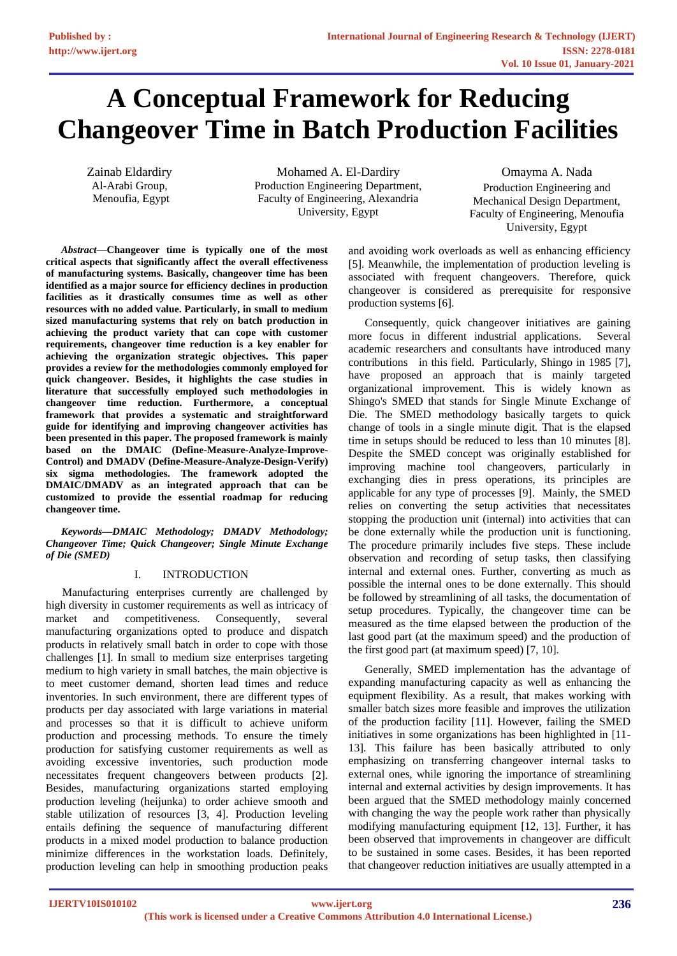# **A Conceptual Framework for Reducing Changeover Time in Batch Production Facilities**

Zainab Eldardiry Al-Arabi Group, Menoufia, Egypt

Mohamed A. El-Dardiry Production Engineering Department, Faculty of Engineering, Alexandria University, Egypt

Omayma A. Nada Production Engineering and Mechanical Design Department, Faculty of Engineering, Menoufia University, Egypt

*Abstract***—Changeover time is typically one of the most critical aspects that significantly affect the overall effectiveness of manufacturing systems. Basically, changeover time has been identified as a major source for efficiency declines in production facilities as it drastically consumes time as well as other resources with no added value. Particularly, in small to medium sized manufacturing systems that rely on batch production in achieving the product variety that can cope with customer requirements, changeover time reduction is a key enabler for achieving the organization strategic objectives. This paper provides a review for the methodologies commonly employed for quick changeover. Besides, it highlights the case studies in literature that successfully employed such methodologies in changeover time reduction. Furthermore, a conceptual framework that provides a systematic and straightforward guide for identifying and improving changeover activities has been presented in this paper. The proposed framework is mainly based on the DMAIC (Define-Measure-Analyze-Improve-Control) and DMADV (Define-Measure-Analyze-Design-Verify) six sigma methodologies. The framework adopted the DMAIC/DMADV as an integrated approach that can be customized to provide the essential roadmap for reducing changeover time.**

*Keywords—DMAIC Methodology; DMADV Methodology; Changeover Time; Quick Changeover; Single Minute Exchange of Die (SMED)*

## I. INTRODUCTION

Manufacturing enterprises currently are challenged by high diversity in customer requirements as well as intricacy of market and competitiveness. Consequently, several manufacturing organizations opted to produce and dispatch products in relatively small batch in order to cope with those challenges [1]. In small to medium size enterprises targeting medium to high variety in small batches, the main objective is to meet customer demand, shorten lead times and reduce inventories. In such environment, there are different types of products per day associated with large variations in material and processes so that it is difficult to achieve uniform production and processing methods. To ensure the timely production for satisfying customer requirements as well as avoiding excessive inventories, such production mode necessitates frequent changeovers between products [2]. Besides, manufacturing organizations started employing production leveling (heijunka) to order achieve smooth and stable utilization of resources [3, 4]. Production leveling entails defining the sequence of manufacturing different products in a mixed model production to balance production minimize differences in the workstation loads. Definitely, production leveling can help in smoothing production peaks

and avoiding work overloads as well as enhancing efficiency [5]. Meanwhile, the implementation of production leveling is associated with frequent changeovers. Therefore, quick changeover is considered as prerequisite for responsive production systems [6].

Consequently, quick changeover initiatives are gaining more focus in different industrial applications. Several academic researchers and consultants have introduced many contributions in this field. Particularly, Shingo in 1985 [7], have proposed an approach that is mainly targeted organizational improvement. This is widely known as Shingo's SMED that stands for Single Minute Exchange of Die. The SMED methodology basically targets to quick change of tools in a single minute digit. That is the elapsed time in setups should be reduced to less than 10 minutes [8]. Despite the SMED concept was originally established for improving machine tool changeovers, particularly in exchanging dies in press operations, its principles are applicable for any type of processes [9]. Mainly, the SMED relies on converting the setup activities that necessitates stopping the production unit (internal) into activities that can be done externally while the production unit is functioning. The procedure primarily includes five steps. These include observation and recording of setup tasks, then classifying internal and external ones. Further, converting as much as possible the internal ones to be done externally. This should be followed by streamlining of all tasks, the documentation of setup procedures. Typically, the changeover time can be measured as the time elapsed between the production of the last good part (at the maximum speed) and the production of the first good part (at maximum speed) [7, 10].

Generally, SMED implementation has the advantage of expanding manufacturing capacity as well as enhancing the equipment flexibility. As a result, that makes working with smaller batch sizes more feasible and improves the utilization of the production facility [11]. However, failing the SMED initiatives in some organizations has been highlighted in [11- 13]. This failure has been basically attributed to only emphasizing on transferring changeover internal tasks to external ones, while ignoring the importance of streamlining internal and external activities by design improvements. It has been argued that the SMED methodology mainly concerned with changing the way the people work rather than physically modifying manufacturing equipment [12, 13]. Further, it has been observed that improvements in changeover are difficult to be sustained in some cases. Besides, it has been reported that changeover reduction initiatives are usually attempted in a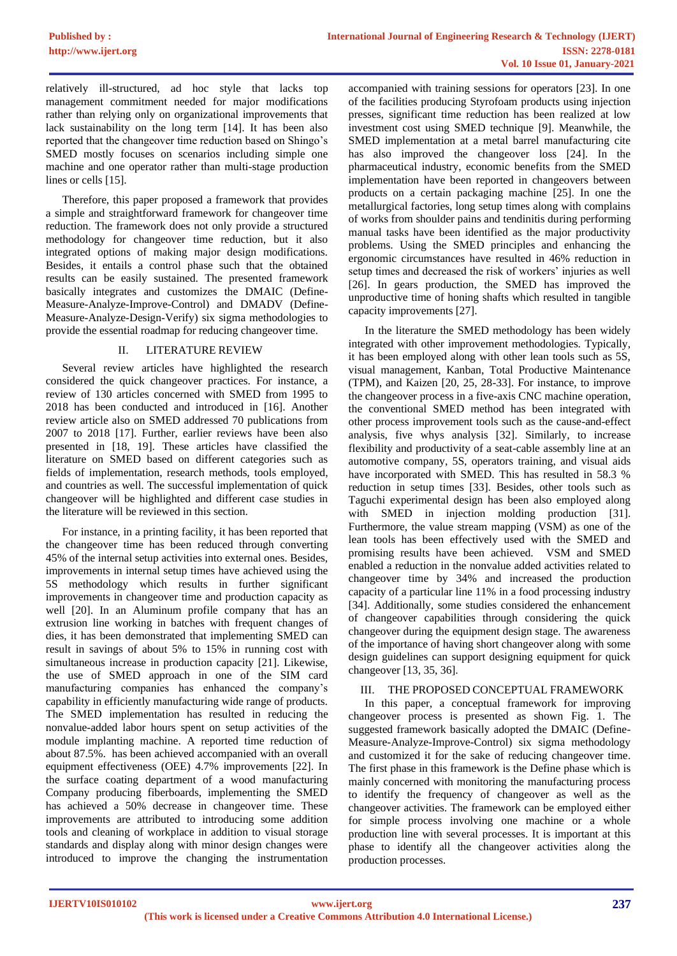relatively ill-structured, ad hoc style that lacks top management commitment needed for major modifications rather than relying only on organizational improvements that lack sustainability on the long term [14]. It has been also reported that the changeover time reduction based on Shingo's SMED mostly focuses on scenarios including simple one machine and one operator rather than multi-stage production lines or cells [15].

Therefore, this paper proposed a framework that provides a simple and straightforward framework for changeover time reduction. The framework does not only provide a structured methodology for changeover time reduction, but it also integrated options of making major design modifications. Besides, it entails a control phase such that the obtained results can be easily sustained. The presented framework basically integrates and customizes the DMAIC (Define-Measure-Analyze-Improve-Control) and DMADV (Define-Measure-Analyze-Design-Verify) six sigma methodologies to provide the essential roadmap for reducing changeover time.

## II. LITERATURE REVIEW

Several review articles have highlighted the research considered the quick changeover practices. For instance, a review of 130 articles concerned with SMED from 1995 to 2018 has been conducted and introduced in [16]. Another review article also on SMED addressed 70 publications from 2007 to 2018 [17]. Further, earlier reviews have been also presented in [18, 19]. These articles have classified the literature on SMED based on different categories such as fields of implementation, research methods, tools employed, and countries as well. The successful implementation of quick changeover will be highlighted and different case studies in the literature will be reviewed in this section.

For instance, in a printing facility, it has been reported that the changeover time has been reduced through converting 45% of the internal setup activities into external ones. Besides, improvements in internal setup times have achieved using the 5S methodology which results in further significant improvements in changeover time and production capacity as well [20]. In an Aluminum profile company that has an extrusion line working in batches with frequent changes of dies, it has been demonstrated that implementing SMED can result in savings of about 5% to 15% in running cost with simultaneous increase in production capacity [21]. Likewise, the use of SMED approach in one of the SIM card manufacturing companies has enhanced the company's capability in efficiently manufacturing wide range of products. The SMED implementation has resulted in reducing the nonvalue-added labor hours spent on setup activities of the module implanting machine. A reported time reduction of about 87.5%. has been achieved accompanied with an overall equipment effectiveness (OEE) 4.7% improvements [22]. In the surface coating department of a wood manufacturing Company producing fiberboards, implementing the SMED has achieved a 50% decrease in changeover time. These improvements are attributed to introducing some addition tools and cleaning of workplace in addition to visual storage standards and display along with minor design changes were introduced to improve the changing the instrumentation

accompanied with training sessions for operators [23]. In one of the facilities producing Styrofoam products using injection presses, significant time reduction has been realized at low investment cost using SMED technique [9]. Meanwhile, the SMED implementation at a metal barrel manufacturing cite has also improved the changeover loss [24]. In the pharmaceutical industry, economic benefits from the SMED implementation have been reported in changeovers between products on a certain packaging machine [25]. In one the metallurgical factories, long setup times along with complains of works from shoulder pains and tendinitis during performing manual tasks have been identified as the major productivity problems. Using the SMED principles and enhancing the ergonomic circumstances have resulted in 46% reduction in setup times and decreased the risk of workers' injuries as well [26]. In gears production, the SMED has improved the unproductive time of honing shafts which resulted in tangible capacity improvements [27].

In the literature the SMED methodology has been widely integrated with other improvement methodologies. Typically, it has been employed along with other lean tools such as 5S, visual management, Kanban, Total Productive Maintenance (TPM), and Kaizen [20, 25, 28-33]. For instance, to improve the changeover process in a five-axis CNC machine operation, the conventional SMED method has been integrated with other process improvement tools such as the cause-and-effect analysis, five whys analysis [32]. Similarly, to increase flexibility and productivity of a seat-cable assembly line at an automotive company, 5S, operators training, and visual aids have incorporated with SMED. This has resulted in 58.3 % reduction in setup times [33]. Besides, other tools such as Taguchi experimental design has been also employed along with SMED in injection molding production [31]. Furthermore, the value stream mapping (VSM) as one of the lean tools has been effectively used with the SMED and promising results have been achieved. VSM and SMED enabled a reduction in the nonvalue added activities related to changeover time by 34% and increased the production capacity of a particular line 11% in a food processing industry [34]. Additionally, some studies considered the enhancement of changeover capabilities through considering the quick changeover during the equipment design stage. The awareness of the importance of having short changeover along with some design guidelines can support designing equipment for quick changeover [13, 35, 36].

#### III. THE PROPOSED CONCEPTUAL FRAMEWORK

In this paper, a conceptual framework for improving changeover process is presented as shown Fig. 1. The suggested framework basically adopted the DMAIC (Define-Measure-Analyze-Improve-Control) six sigma methodology and customized it for the sake of reducing changeover time. The first phase in this framework is the Define phase which is mainly concerned with monitoring the manufacturing process to identify the frequency of changeover as well as the changeover activities. The framework can be employed either for simple process involving one machine or a whole production line with several processes. It is important at this phase to identify all the changeover activities along the production processes.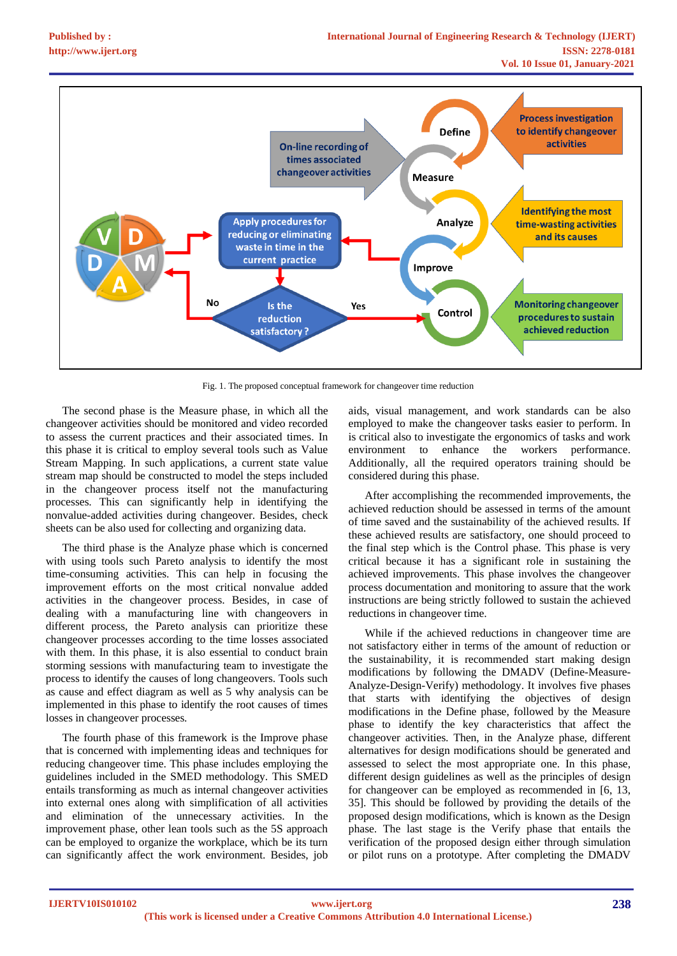

Fig. 1. The proposed conceptual framework for changeover time reduction

The second phase is the Measure phase, in which all the changeover activities should be monitored and video recorded to assess the current practices and their associated times. In this phase it is critical to employ several tools such as Value Stream Mapping. In such applications, a current state value stream map should be constructed to model the steps included in the changeover process itself not the manufacturing processes. This can significantly help in identifying the nonvalue-added activities during changeover. Besides, check sheets can be also used for collecting and organizing data.

The third phase is the Analyze phase which is concerned with using tools such Pareto analysis to identify the most time-consuming activities. This can help in focusing the improvement efforts on the most critical nonvalue added activities in the changeover process. Besides, in case of dealing with a manufacturing line with changeovers in different process, the Pareto analysis can prioritize these changeover processes according to the time losses associated with them. In this phase, it is also essential to conduct brain storming sessions with manufacturing team to investigate the process to identify the causes of long changeovers. Tools such as cause and effect diagram as well as 5 why analysis can be implemented in this phase to identify the root causes of times losses in changeover processes.

The fourth phase of this framework is the Improve phase that is concerned with implementing ideas and techniques for reducing changeover time. This phase includes employing the guidelines included in the SMED methodology. This SMED entails transforming as much as internal changeover activities into external ones along with simplification of all activities and elimination of the unnecessary activities. In the improvement phase, other lean tools such as the 5S approach can be employed to organize the workplace, which be its turn can significantly affect the work environment. Besides, job aids, visual management, and work standards can be also employed to make the changeover tasks easier to perform. In is critical also to investigate the ergonomics of tasks and work environment to enhance the workers performance. Additionally, all the required operators training should be considered during this phase.

After accomplishing the recommended improvements, the achieved reduction should be assessed in terms of the amount of time saved and the sustainability of the achieved results. If these achieved results are satisfactory, one should proceed to the final step which is the Control phase. This phase is very critical because it has a significant role in sustaining the achieved improvements. This phase involves the changeover process documentation and monitoring to assure that the work instructions are being strictly followed to sustain the achieved reductions in changeover time.

While if the achieved reductions in changeover time are not satisfactory either in terms of the amount of reduction or the sustainability, it is recommended start making design modifications by following the DMADV (Define-Measure-Analyze-Design-Verify) methodology. It involves five phases that starts with identifying the objectives of design modifications in the Define phase, followed by the Measure phase to identify the key characteristics that affect the changeover activities. Then, in the Analyze phase, different alternatives for design modifications should be generated and assessed to select the most appropriate one. In this phase, different design guidelines as well as the principles of design for changeover can be employed as recommended in [6, 13, 35]. This should be followed by providing the details of the proposed design modifications, which is known as the Design phase. The last stage is the Verify phase that entails the verification of the proposed design either through simulation or pilot runs on a prototype. After completing the DMADV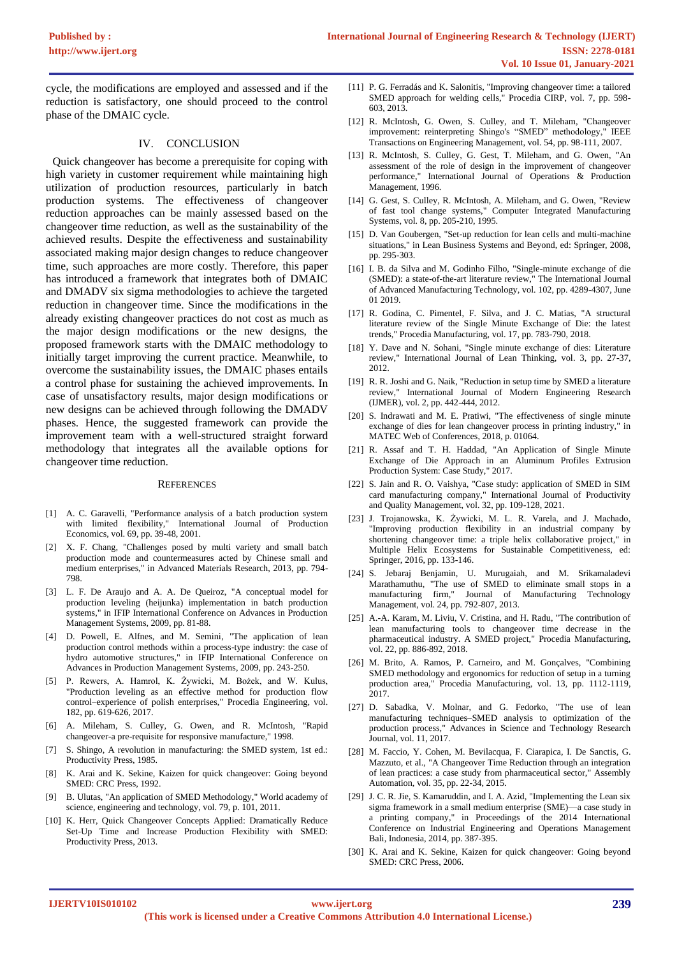cycle, the modifications are employed and assessed and if the reduction is satisfactory, one should proceed to the control phase of the DMAIC cycle.

#### IV. CONCLUSION

 Quick changeover has become a prerequisite for coping with high variety in customer requirement while maintaining high utilization of production resources, particularly in batch production systems. The effectiveness of changeover reduction approaches can be mainly assessed based on the changeover time reduction, as well as the sustainability of the achieved results. Despite the effectiveness and sustainability associated making major design changes to reduce changeover time, such approaches are more costly. Therefore, this paper has introduced a framework that integrates both of DMAIC and DMADV six sigma methodologies to achieve the targeted reduction in changeover time. Since the modifications in the already existing changeover practices do not cost as much as the major design modifications or the new designs, the proposed framework starts with the DMAIC methodology to initially target improving the current practice. Meanwhile, to overcome the sustainability issues, the DMAIC phases entails a control phase for sustaining the achieved improvements. In case of unsatisfactory results, major design modifications or new designs can be achieved through following the DMADV phases. Hence, the suggested framework can provide the improvement team with a well-structured straight forward methodology that integrates all the available options for changeover time reduction.

#### **REFERENCES**

- [1] A. C. Garavelli, "Performance analysis of a batch production system with limited flexibility," International Journal of Production Economics, vol. 69, pp. 39-48, 2001.
- [2] X. F. Chang, "Challenges posed by multi variety and small batch production mode and countermeasures acted by Chinese small and medium enterprises," in Advanced Materials Research, 2013, pp. 794- 798.
- [3] L. F. De Araujo and A. A. De Queiroz, "A conceptual model for production leveling (heijunka) implementation in batch production systems," in IFIP International Conference on Advances in Production Management Systems, 2009, pp. 81-88.
- [4] D. Powell, E. Alfnes, and M. Semini, "The application of lean production control methods within a process-type industry: the case of hydro automotive structures," in IFIP International Conference on Advances in Production Management Systems, 2009, pp. 243-250.
- [5] P. Rewers, A. Hamrol, K. Żywicki, M. Bożek, and W. Kulus, "Production leveling as an effective method for production flow control–experience of polish enterprises," Procedia Engineering, vol. 182, pp. 619-626, 2017.
- [6] A. Mileham, S. Culley, G. Owen, and R. McIntosh, "Rapid changeover-a pre-requisite for responsive manufacture," 1998.
- [7] S. Shingo, A revolution in manufacturing: the SMED system, 1st ed.: Productivity Press, 1985.
- [8] K. Arai and K. Sekine, Kaizen for quick changeover: Going beyond SMED: CRC Press, 1992.
- [9] B. Ulutas, "An application of SMED Methodology," World academy of science, engineering and technology, vol. 79, p. 101, 2011.
- [10] K. Herr, Quick Changeover Concepts Applied: Dramatically Reduce Set-Up Time and Increase Production Flexibility with SMED: Productivity Press, 2013.
- [11] P. G. Ferradás and K. Salonitis, "Improving changeover time: a tailored SMED approach for welding cells," Procedia CIRP, vol. 7, pp. 598- 603, 2013.
- [12] R. McIntosh, G. Owen, S. Culley, and T. Mileham, "Changeover improvement: reinterpreting Shingo's "SMED" methodology," IEEE Transactions on Engineering Management, vol. 54, pp. 98-111, 2007.
- [13] R. McIntosh, S. Culley, G. Gest, T. Mileham, and G. Owen, "An assessment of the role of design in the improvement of changeover performance," International Journal of Operations & Production Management, 1996.
- [14] G. Gest, S. Culley, R. McIntosh, A. Mileham, and G. Owen, "Review of fast tool change systems," Computer Integrated Manufacturing Systems, vol. 8, pp. 205-210, 1995.
- [15] D. Van Goubergen, "Set-up reduction for lean cells and multi-machine situations," in Lean Business Systems and Beyond, ed: Springer, 2008, pp. 295-303.
- [16] I. B. da Silva and M. Godinho Filho, "Single-minute exchange of die (SMED): a state-of-the-art literature review," The International Journal of Advanced Manufacturing Technology, vol. 102, pp. 4289-4307, June 01 2019.
- [17] R. Godina, C. Pimentel, F. Silva, and J. C. Matias, "A structural literature review of the Single Minute Exchange of Die: the latest trends," Procedia Manufacturing, vol. 17, pp. 783-790, 2018.
- [18] Y. Dave and N. Sohani, "Single minute exchange of dies: Literature review," International Journal of Lean Thinking, vol. 3, pp. 27-37, 2012.
- [19] R. R. Joshi and G. Naik, "Reduction in setup time by SMED a literature review," International Journal of Modern Engineering Research (IJMER), vol. 2, pp. 442-444, 2012.
- [20] S. Indrawati and M. E. Pratiwi, "The effectiveness of single minute exchange of dies for lean changeover process in printing industry," in MATEC Web of Conferences, 2018, p. 01064.
- [21] R. Assaf and T. H. Haddad, "An Application of Single Minute Exchange of Die Approach in an Aluminum Profiles Extrusion Production System: Case Study," 2017.
- [22] S. Jain and R. O. Vaishya, "Case study: application of SMED in SIM card manufacturing company," International Journal of Productivity and Quality Management, vol. 32, pp. 109-128, 2021.
- [23] J. Trojanowska, K. Żywicki, M. L. R. Varela, and J. Machado, "Improving production flexibility in an industrial company by shortening changeover time: a triple helix collaborative project," in Multiple Helix Ecosystems for Sustainable Competitiveness, ed: Springer, 2016, pp. 133-146.
- [24] S. Jebaraj Benjamin, U. Murugaiah, and M. Srikamaladevi Marathamuthu, "The use of SMED to eliminate small stops in a manufacturing firm," Journal of Manufacturing Technology Management, vol. 24, pp. 792-807, 2013.
- [25] A.-A. Karam, M. Liviu, V. Cristina, and H. Radu, "The contribution of lean manufacturing tools to changeover time decrease in the pharmaceutical industry. A SMED project," Procedia Manufacturing, vol. 22, pp. 886-892, 2018.
- [26] M. Brito, A. Ramos, P. Carneiro, and M. Gonçalves, "Combining SMED methodology and ergonomics for reduction of setup in a turning production area," Procedia Manufacturing, vol. 13, pp. 1112-1119, 2017.
- [27] D. Sabadka, V. Molnar, and G. Fedorko, "The use of lean manufacturing techniques–SMED analysis to optimization of the production process," Advances in Science and Technology Research Journal, vol. 11, 2017.
- [28] M. Faccio, Y. Cohen, M. Bevilacqua, F. Ciarapica, I. De Sanctis, G. Mazzuto, et al., "A Changeover Time Reduction through an integration of lean practices: a case study from pharmaceutical sector," Assembly Automation, vol. 35, pp. 22-34, 2015.
- [29] J. C. R. Jie, S. Kamaruddin, and I. A. Azid, "Implementing the Lean six sigma framework in a small medium enterprise (SME)—a case study in a printing company," in Proceedings of the 2014 International Conference on Industrial Engineering and Operations Management Bali, Indonesia, 2014, pp. 387-395.
- [30] K. Arai and K. Sekine, Kaizen for quick changeover: Going beyond SMED: CRC Press, 2006.